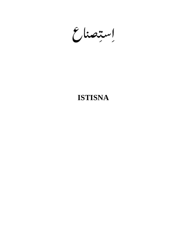إستصناع

# **ISTISNA**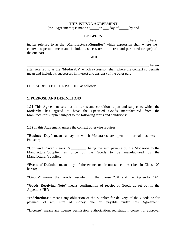#### **THIS ISTISNA AGREEMENT**

(the "Agreement") is made at\_\_\_\_\_on \_\_\_ day of \_\_\_\_\_ by and

#### **BETWEEN**

\_\_\_\_\_\_\_\_\_\_\_\_\_\_\_\_\_\_\_\_\_\_\_\_\_\_\_\_\_\_\_\_\_\_\_\_\_\_\_\_\_\_\_\_\_\_\_\_\_\_\_\_\_\_\_\_\_\_\_\_\_\_\_\_\_\_\_,(here

inafter referred to as the "**Manufacturer/Supplier**" which expression shall where the context so permits mean and include its successors in interest and permitted assigns) of the one part

#### **AND**

\_\_\_\_\_\_\_\_\_\_\_\_\_\_\_\_\_\_\_\_\_\_\_\_\_\_\_\_\_\_\_\_\_\_\_\_\_\_\_\_\_\_\_\_\_\_\_\_\_\_\_\_\_\_\_\_\_\_\_\_\_\_\_\_\_\_\_,(herein after referred to as the "**Modaraba**" which expression shall where the context so permits mean and include its successors in interest and assigns) of the other part

#### IT IS AGREED BY THE PARTIES as follows:

#### **1. PURPOSE AND DEFINITIONS**

**1.01** This Agreement sets out the terms and conditions upon and subject to which the Modaraba has agreed to have the Specified Goods manufactured from the Manufacturer/Supplier subject to the following terms and conditions:

**1.02** In this Agreement, unless the context otherwise requires:

**"Business Day"** means a day on which Modarabas are open for normal business in Pakistan;

**"Contract Price"** means Rs.\_\_\_\_\_\_\_\_, being the sum payable by the Modaraba to the Manufacturer/Supplier as price of the Goods to be manufactured by the Manufacturer/Supplier;

**"Event of Default"** means any of the events or circumstances described in Clause 09 hereto;

**"Goods"** means the Goods described in the clause 2.01 and the Appendix "A";

**"Goods Receiving Note"** means confirmation of receipt of Goods as set out in the Appendix **"B";** 

**"Indebtedness"** means any obligation of the Supplier for delivery of the Goods or for payment of any sum of money due or, payable under this Agreement;

**"License"** means any license, permission, authorization, registration, consent or approval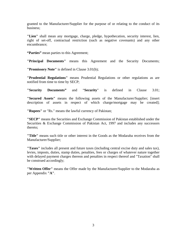granted to the Manufacturer/Supplier for the purpose of or relating to the conduct of its business;

**"Lien"** shall mean any mortgage, charge, pledge, hypothecation, security interest, lien, right of set-off, contractual restriction (such as negative covenants) and any other encumbrance;

**"Parties"** mean parties to this Agreement;

**"Principal Documents"** means this Agreement and the Security Documents;

**"Promissory Note"** is defined in Clause 3.01(b);

**"Prudential Regulations"** means Prudential Regulations or other regulations as are notified from time to time by SECP;

**"Security Documents"** and "**Security**" is defined in Clause 3.01;

**"Secured Assets"** means the following assets of the Manufacturer/Supplier; [insert description of assets in respect of which charge/mortgage may be created];

**"Rupees"** or "Rs." means the lawful currency of Pakistan;

**"SECP"** means the Securities and Exchange Commission of Pakistan established under the Securities & Exchange Commission of Pakistan Act, 1997 and includes any successors thereto;

**"Title"** means such title or other interest in the Goods as the Modaraba receives from the Manufacturer/Supplier;

**"Taxes"** includes all present and future taxes (including central excise duty and sales tax), levies, imposts, duties, stamp duties, penalties, fees or charges of whatever nature together with delayed payment charges thereon and penalties in respect thereof and "Taxation" shall be construed accordingly;

**"Written Offer"** means the Offer made by the Manufacturer/Supplier to the Modaraba as per Appendix **"A"**.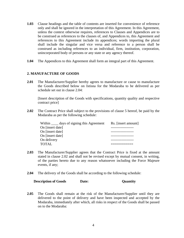- **1.03** Clause headings and the table of contents are inserted for convenience of reference only and shall be ignored in the interpretation of this Agreement. In this Agreement, unless the context otherwise requires, references to Clauses and Appendices are to be construed as references to the clauses of, and Appendices to, this Agreement and references to this Agreement include its appendices; words importing the plural shall include the singular and vice versa and reference to a person shall be construed as including references to an individual, firm, institution, corporation, unincorporated body of persons or any state or any agency thereof.
- **1.04** The Appendices to this Agreement shall form an integral part of this Agreement.

## **2. MANUFACTURE OF GOODS**

**2.01** The Manufacturer/Supplier hereby agrees to manufacture or cause to manufacture the Goods described below on Istisna for the Modaraba to be delivered as per schedule set out in clause 2.04:

[Insert description of the Goods with specifications, quantity quality and respective contract price]

**2.02** The Contract Price shall subject to the provisions of clause 5 hereof, be paid by the Modaraba as per the following schedule:

| Within ______ days of signing this Agreement | Rs. [insert amount] |
|----------------------------------------------|---------------------|
| On [insert date]                             |                     |
| On [insert date]                             |                     |
| On [insert date]                             |                     |
| On delivery                                  |                     |
| <b>TOTAL</b>                                 |                     |

- **2.03** The Manufacturer/Supplier agrees that the Contract Price is fixed at the amount stated in clause 2.02 and shall not be revised except by mutual consent, in writing, of the parties hereto due to any reason whatsoever including the Force Majeure events, if any;
- **2.04** The delivery of the Goods shall be according to the following schedule:

**Description of Goods Date: Quantity**

**2.05** The Goods shall remain at the risk of the Manufacturer/Supplier until they are delivered to the point of delivery and have been inspected and accepted by the Modaraba, immediately after which, all risks in respect of the Goods shall be passed on to the Modaraba: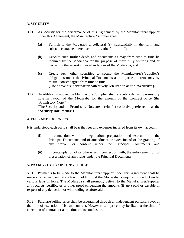## **3. SECURITY**

- **3.01** As security for the performance of this Agreement by the Manufacturer/Supplier under this Agreement, the Manufacturer/Supplier shall:
	- **(a)** Furnish to the Modaraba a collateral (s), substantially in the form and substance attached hereto as \_\_\_\_\_\_, (the "\_\_\_\_\_\_\_");
	- **(b)** Execute such further deeds and documents as may from time to time be required by the Modaraba for the purpose of more fully securing and or perfecting the security created in favour of the Modaraba; and
	- **(c)** Create such other securities to secure the Manufacturer's/Supplier's obligations under the Principal Documents as the parties, hereto, may by mutual consent agree from time to time. **(The above are hereinafter collectively referred to as the "Security").**
- **3.02** In addition to above, the Manufacturer/Supplier shall execute a demand promissory note in favour of the Modaraba for the amount of the Contract Price (the "Promissory Note");

(The Security and the Promissory Note are hereinafter collectively referred to as the **"Security Documents")**

## **4. FEES AND EXPENSES**

It is understood each party shall bear the fees and expenses incurred from its own account:

- **(i)** in connection with the negotiation, preparation and execution of the Principal Documents and of amendment or extension of or the granting of any waiver or consent under the Principal Documents and
- **(ii)** in contemplation of or otherwise in connection with, the enforcement of, or preservation of any rights under the Principal Documents

#### **5. PAYMENT OF CONTRACT PRICE**

5.01 Payments to be made to the Manufacturer/Supplier under this Agreement shall be made after adjustment of such withholding that the Modaraba is required to deduct under various laws in force. The Modaraba shall promptly deliver to the Manufacturer/Supplier any receipts, certificates or other proof evidencing the amounts (if any) paid or payable in respect of any deduction or withholding as aforesaid;

5.02 Purchase/selling price shall be ascertained through an independent party/surveyor at the time of execution of Istisna contract. However, sale price may be fixed at the time of execution of contract or at the time of its conclusion.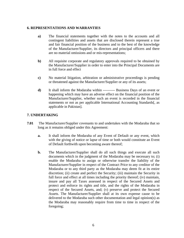#### **6. REPRESENTATIONS AND WARRANTIES**

- **a)** The financial statements together with the notes to the accounts and all contingent liabilities and assets that are disclosed therein represent a true and fair financial position of the business and to the best of the knowledge of the Manufacturer/Supplier, its directors and principal officers and there are no material omissions and or mis-representations;
- **b)** All requisite corporate and regulatory approvals required to be obtained by the Manufacturer/Supplier in order to enter into the Principal Documents are in full force and effect
- **c)** No material litigation, arbitration or administrative proceedings is pending or threatened against the Manufacturer/Supplier or any of its assets;
- **d)** It shall inform the Modaraba within ---------- Business Days of an event or happening which may have an adverse effect on the financial position of the Manufacturer/Supplier, whether such an event is recorded in the financial statements or not as per applicable International Accounting Standards[, as applicable in Pakistan].

## **7. UNDERTAKING**

- **7.01** The Manufacturer/Supplier covenants to and undertakes with the Modaraba that so long as it remains obliged under this Agreement:
	- **a.** It shall inform the Modaraba of any Event of Default or any event, which with the giving of notice or lapse of time or both would constitute an Event of Default forthwith upon becoming aware thereof;
	- **b.** The Manufacturer/Supplier shall do all such things and execute all such documents which in the judgment of the Modaraba may be necessary to; (i) enable the Modaraba to assign or otherwise transfer the liability of the Manufacturer/Supplier in respect of the Contract Price to any creditor of the Modaraba or to any third party as the Modaraba may deem fit at its entire discretion; (ii) create and perfect the Security; (iii) maintain the Security in full force and effect at all times including the priority thereof; (iv) maintain, insure and pay all Taxes assessed in respect of the Secured Assets and protect and enforce its rights and title, and the rights of the Modaraba in respect of the Secured Assets, and; (v) preserve and protect the Secured Assets. The Manufacturer/Supplier shall at its own expense cause to be delivered to the Modaraba such other documentation and legal opinion(s) as the Modaraba may reasonably require from time to time in respect of the foregoing;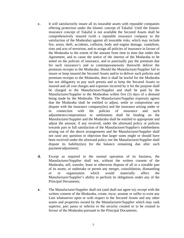- **c.** It will satisfactorily insure all its insurable assets with reputable companies offering protection under the Islamic concept of Takaful. Until the Islamic insurance concept of Takaful is not available the Secured Assets shall be comprehensively insured (with a reputable insurance company to the satisfaction of the Modaraba) against all insurable risks, which may include fire, arson, theft, accidents, collision, body and engine damage, vandalism, riots and acts of terrorism, and to assign all policies of insurance in favour of the Modaraba to the extent of the amount from time to time due under this Agreement, and to cause the notice of the interest of the Modaraba to be noted on the policies of insurance, and to punctually pay the premium due for such insurance's and to contemporaneously therewith deliver the premium receipts to the Modaraba. Should the Manufacturer/Supplier fail to insure or keep insured the Secured Assets and/or to deliver such policies and premium receipts to the Modaraba, then it shall be lawful for the Modaraba but not obligatory to pay such premia and to keep the Secured Assets so insured and all cost charges and expenses incurred by it for the purpose shall be charged to the Manufacturer/Supplier and shall be paid by the Manufacturer/Supplier to the Modarabas within five (5) days of a demand being made by the Modaraba. The Manufacturer/Supplier expressly agrees that the Modaraba shall be entitled to adjust, settle or compromise any dispute with the insurance company(ies) and the insurance arising under or in connection with the policies of insurance and such adjustments/compromises or settlements shall be binding on the Manufacturer/Supplier and the Modaraba shall be entitled to appropriate and adjust the amount, if any received, under the aforesaid policy or policies towards part or full satisfaction of the Manufacturer/Supplier's indebtedness arising out of the above arrangements and the Manufacturer/Supplier shall not raise any question or objection that larger sums might or should have been received under the aforesaid policy nor the Manufacturer/Supplier shall dispute its liability(ies) for the balance remaining due after such payment/adjustment;
- **d.** Except as required in the normal operation of its business, the Manufacturer/Supplier shall not, without the written consent of the Modaraba, sell, transfer, lease or otherwise dispose of all or a sizeable part of its assets, or undertake or permit any merger, consolidation, dismantling or re organization which would materially affect the Manufacturer/Supplier's ability to perform its obligations under any of the Principal Documents;
- **e.** The Manufacturer/Supplier shall not (and shall not agree to), except with the written consent of the Modaraba, create, incur, assume or suffer to exist any Lien whatsoever upon or with respect to the Secured Assets and any other assets and properties owned by the Manufacturer/Supplier which may rank superior, pari passu or inferior to the security created or to be created in favour of the Modaraba pursuant to the Principal Documents;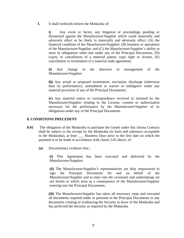**f.** It shall forthwith inform the Modaraba of:

**i)** Any event or factor, any litigation or proceedings pending or threatened against the Manufacturer/Supplier which could materially and adversely affect or be likely to materially and adversely affect: (A) the financial condition of the Manufacturer/Supplier; (B) business or operations of the Manufacturer/Supplier; and (C) the Manufacturer/Supplier's ability to meet its obligations when due under any of the Principal Documents, (D) expiry or cancellation of a material patent, copy right or license, (E) cancellation or termination of a material trade agreement;

**ii)** Any change in the directors or management of the Manufacturer/Supplier;

**iii)** Any actual or proposed termination, rescission, discharge (otherwise than by performance), amendment or waiver or indulgence under any material provision of any of the Principal Documents;

**iv)** Any material notice or correspondence received or initiated by the Manufacturer/Supplier relating to the License, consent or authorization necessary for the performance by the Manufacturer/Supplier of its obligations under any of the Principal Documents

#### **8. CONDITIONS PRECEDENT**

- **8.01** The obligation of the Modaraba to purchase the Goods under this Istisna Contract shall be subject to the receipt by the Modaraba (in form and substance acceptable to the Modaraba), at least \_\_\_ Business Days prior to the first date on which the payment is to be made in accordance with clause 2.02 above, of:
	- **(a)** Documentary evidence that::

**(i)** This Agreement has been executed and delivered by the Manufacturer/Supplier;

**(ii)** The Manufacturer/Supplier's representatives are duly empowered to sign the Principal Documents for and on behalf of the Manufacturer/Supplier and to enter into the covenants and undertakings set out herein or which arise as a consequence of the Manufacturer/Supplier entering into the Principal Documents;

**(iii)** The Manufacturer/Supplier has taken all necessary steps and executed all documents required under or pursuant to the Principal Documents or any documents creating or evidencing the Security in favor of the Modaraba and has perfected the Security as required by the Modaraba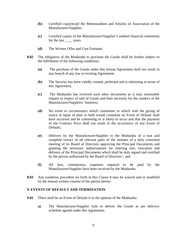- **(b)** Certified copy(ies)of the Memorandum and Articles of Association of the Manufacturer/Supplier.
- **(c)** Certified copies of the Manufacturer/Supplier's audited financial statements for the last vears
- **(d)** The Written Offer and Cost Estimate;
- **8.02** The obligation of the Modaraba to purchase the Goods shall be further subject to the fulfillment of the following conditions:
	- **(a)** The purchase of the Goods under this Istisna Agreement shall not result in any breach of any law or existing Agreement;
	- **(b)** The Security has been validly created, perfected and is subsisting in terms of this Agreement;
	- **(c)** The Modaraba has received such other documents as it may reasonably request in respect of sale of Goods and their necessity for the conduct of the Manufacturer/Suppliers' business;
	- **(d)** No event or circumstance which constitutes or which with the giving of notice or lapse of time or both would constitute an Event of Default shall have occurred and be continuing or is likely to occur and that the payment of the Contract Price shall not result in the occurrence of any Event of Default::
	- **(e)** Delivery by the Manufacturer/Supplier to the Modaraba of a true and complete extract of all relevant parts of the minutes of a duly convened meeting of its Board of Directors approving the Principal Documents and granting the necessary authorizations for entering into, execution and delivery of the Principal Documents which shall be duly signed and certified by the person authorized by the Board of Directors'; and
	- **(f)** All fees, commission, expenses required to be paid by the Manufacturer/Supplier have been received by the Modaraba.
- **8.03** Any condition precedent set forth in this Clause 8 may be waived and or modified by the mutual written consent of the parties hereto.

#### **9. EVENTS OF DEFAULT AND TERMINATION**

- **9.01** There shall be an Event of Default if in the opinion of the Modaraba:
	- **a)** The Manufacturer/Supplier fails to deliver the Goods as per delivery schedule agreed under this Agreement;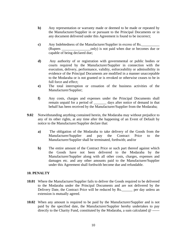- **b)** Any representation or warranty made or deemed to be made or repeated by the Manufacturer/Supplier in or pursuant to the Principal Documents or in any document delivered under this Agreement is found to be incorrect;
- **c**) Any Indebtedness of the Manufacturer/Supplier in excess of Rs. (Rupees only) is not paid when due or becomes due or capable of being declared due;
- **d)** Any authority of or registration with governmental or public bodies or courts required by the Manufacturer/Supplier in connection with the execution, delivery, performance, validity, enforceability or admissibility in evidence of the Principal Documents are modified in a manner unacceptable to the Modaraba or is not granted or is revoked or otherwise ceases to be in full force and effect;
- **e)** The total interruption or cessation of the business activities of the Manufacturer/Supplier;
- **f)** Any costs, charges and expenses under the Principal Documents shall remain unpaid for a period of \_\_\_\_\_\_\_ days after notice of demand in that behalf has been received by the Manufacturer/Supplier from the Modaraba;
- **9.02** Notwithstanding anything contained herein, the Modaraba may without prejudice to any of its other rights, at any time after the happening of an Event of Default by notice to the Manufacturer/Supplier declare that:
	- **a)** The obligation of the Modaraba to take delivery of the Goods from the Manufacturer/Supplier and pay the Contract Price to the Manufacturer/Supplier shall be terminated, forthwith; and/or
	- **b)** The entire amount of the Contract Price or such part thereof against which the Goods have not been delivered to the Modaraba by the Manufacturer/Supplier along with all other costs, charges, expenses and damages etc. and any other amounts paid to the Manufacturer/Supplier under this Agreement shall forthwith become due and refundable.

#### **10. PENALTY**

- **10.01** Where the Manufacturer/Supplier fails to deliver the Goods required to be delivered to the Modaraba under the Principal Documents and are not delivered by the Delivery Date, the Contract Price will be reduced by Rs. \_\_\_\_\_\_ per day unless an extension is mutually agreed.
- **10.02** When any amount is required to be paid by the Manufacturer/Supplier and is not paid by the specified date, the Manufacturer/Supplier hereby undertakes to pay directly to the Charity Fund, constituted by the Modaraba, a sum calculated @ ------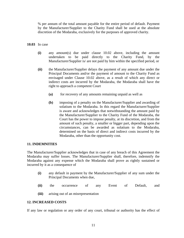% per annum of the total amount payable for the entire period of default. Payment by the Manufacturer/Supplier to the Charity Fund shall be used at the absolute discretion of the Modaraba, exclusively for the purposes of approved charity.

## **10.03** In case

- **(i)** any amount(s) due under clause 10.02 above, including the amount undertaken to be paid directly to the Charity Fund, by the Manufacturer/Supplier is/ are not paid by him within the specified period, or
- **(ii)** the Manufacturer/Supplier delays the payment of any amount due under the Principal Documents and/or the payment of amount to the Charity Fund as envisaged under Clause 10.02 above, as a result of which any direct or indirect costs are incurred by the Modaraba, the Modaraba shall have the right to approach a competent Court
	- **(a)** for recovery of any amounts remaining unpaid as well as
	- **(b)** imposing of a penalty on the Manufacturer/Supplier and awarding of solatium to the Modaraba. In this regard the Manufacturer/Supplier is aware and acknowledges that notwithstanding the amount paid by the Manufacturer/Supplier to the Charity Fund of the Modaraba, the Court has the power to impose penalty, at its discretion, and from the amount of such penalty, a smaller or bigger part, depending upon the circumstances, can be awarded as solatium to the Modaraba, determined on the basis of direct and indirect costs incurred by the Modaraba, other than the opportunity cost.

#### **11. INDEMNITIES**

The Manufacturer/Supplier acknowledges that in case of any breach of this Agreement the Modaraba may suffer losses. The Manufacturer/Supplier shall, therefore, indemnify the Modaraba against any expense which the Modaraba shall prove as rightly sustained or incurred by it as a consequence of

- **(i)** any default in payment by the Manufacturer/Supplier of any sum under the Principal Documents when due,
- **(ii)** the occurrence of any Event of Default, and
- **(iii)** arising out of an misrepresentation

#### **12. INCREASED COSTS**

If any law or regulation or any order of any court, tribunal or authority has the effect of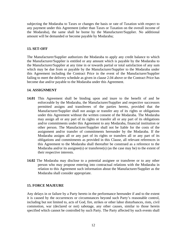subjecting the Modaraba to Taxes or changes the basis or rate of Taxation with respect to any payment under this Agreement (other than Taxes or Taxation on the overall income of the Modaraba), the same shall be borne by the Manufacturer/Supplier. No additional amount will be demanded or become payable by Modaraba;

## **13. SET-OFF**

The Manufacturer/Supplier authorizes the Modaraba to apply any credit balance to which the Manufacturer/Supplier is entitled or any amount which is payable by the Modaraba to the Manufacturer/Supplier at any time in or towards partial or total satisfaction of any sum which may be due from or payable by the Manufacturer/Supplier to the Modaraba under this Agreement including the Contract Price in the event of the Manufacturer/Supplier failing to meet the delivery schedule as given in clause 2.04 above or the Contract Price has become due and/or payable to the Modaraba under this Agreement.

#### **14. ASSIGNMENT**

- **14.01** This Agreement shall be binding upon and inure to the benefit of and be enforceable by the Modaraba, the Manufacturer/Supplier and respective successors permitted assigns and transferees of the parties hereto, provided that the Manufacturer/Supplier shall not assign or transfer any of its rights or obligations under this Agreement without the written consent of the Modaraba. The Modaraba may assign all or any part of its rights or transfer all or any part of its obligations and/or commitments under this Agreement to any Modaraba, financial institution or other person. The Manufacturer/Supplier shall not be liable for the costs of the assignment and/or transfer of commitments hereunder by the Modaraba. If the Modaraba assigns all or any part of its rights or transfers all or any part of its obligations and commitments as provided in this Clause, all relevant references in this Agreement to the Modaraba shall thereafter be construed as a reference to the Modaraba and/or its assignee(s) or transferee(s) (as the case may be) to the extent of their respective interests.
- **14.02** The Modaraba may disclose to a potential assignee or transferee or to any other person who may propose entering into contractual relations with the Modaraba in relation to this Agreement such information about the Manufacturer/Supplier as the Modaraba shall consider appropriate.

#### **15. FORCE MAJEURE**

Any delays in or failure by a Party hereto in the performance hereunder if and to the extent it is caused by the occurrences or circumstances beyond such Party's reasonable control, including but not limited to, acts of God, fire, strikes or other labor disturbances, riots, civil commotion, war (declared or not) sabotage, any other causes, similar to those herein specified which cannot be controlled by such Party. The Party affected by such events shall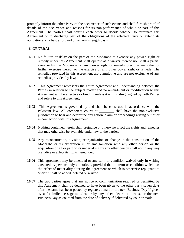promptly inform the other Party of the occurrence of such events and shall furnish proof of details of the occurrence and reasons for its non-performance of whole or part of this Agreement. The parties shall consult each other to decide whether to terminate this Agreement or to discharge part of the obligations of the affected Party or extend its obligations on a best effort and on an arm's length basis.

## **16. GENERAL**

- **16.01** No failure or delay on the part of the Modaraba to exercise any power, right or remedy under this Agreement shall operate as a waiver thereof nor shall a partial exercise by the Modaraba of any power right or remedy preclude any other or further exercise thereof or the exercise of any other power right or remedy. The remedies provided in this Agreement are cumulative and are not exclusive of any remedies provided by law;
- **16.02** This Agreement represents the entire Agreement and understanding between the Parties in relation to the subject matter and no amendment or modification to this Agreement will be effective or binding unless it is in writing, signed by both Parties and refers to this Agreement;
- **16.03** This Agreement is governed by and shall be construed in accordance with the Pakistani law. All competent courts at shall have the non-exclusive jurisdiction to hear and determine any action, claim or proceedings arising out of or in connection with this Agreement.
- **16.04** Nothing contained herein shall prejudice or otherwise affect the rights and remedies that may otherwise be available under law to the parties.
- **16.05** Any reconstruction, division, reorganization or change in the constitution of the Modaraba or its absorption in or amalgamation with any other person or the acquisition of all or part of its undertaking by any other person shall not in any way prejudice or affect its rights hereunder.
- **16.06** This agreement may be amended or any term or condition waived only in writing executed by persons duly authorized, provided that no term or condition which has the effect of materiality altering the agreement or which is otherwise repugnant to *Shariah* shall be added, deleted or waived.
- **16.07** The two parties agree that any notice or communication required or permitted by this Agreement shall be deemed to have been given to the other party seven days after the same has been posted by registered mail or the next Business Day if given by a facsimile message to telex or by any other electronic means, or the next Business Day as counted from the date of delivery if delivered by courier mail;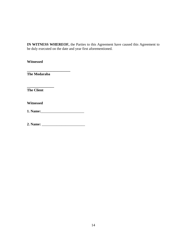**IN WITNESS WHEREOF,** the Parties to this Agreement have caused this Agreement to be duly executed on the date and year first aforementioned.

**Witnessed** 

**The Modaraba** 

**\_\_\_\_\_\_\_\_\_\_\_\_\_\_\_** 

**\_\_\_\_\_\_\_\_\_\_\_\_\_\_\_\_\_\_\_\_\_\_\_\_** 

**The Client** 

**Witnessed**

**1. Name:**\_\_\_\_\_\_\_\_\_\_\_\_\_\_\_\_\_\_\_\_\_\_\_\_

**2. Name:** \_\_\_\_\_\_\_\_\_\_\_\_\_\_\_\_\_\_\_\_\_\_\_\_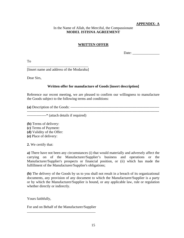## **APPENDIX- A**

# In the Name of Allah, the Merciful, the Compassionate **MODEL ISTISNA AGREEMENT**

# **WRITTEN OFFER**

Date:

To

\_\_\_\_\_\_\_\_\_\_\_\_\_\_\_\_\_\_\_\_\_\_\_\_\_\_\_\_\_\_\_\_\_\_ [Insert name and address of the Modaraba]

Dear Sirs,

# **Written offer for manufacture of Goods [insert description]**

Reference our recent meeting, we are pleased to confirm our willingness to manufacture the Goods subject to the following terms and conditions:

**(a)** Description of the Goods: --------------------------------------------------------------------------

--------------------------------------------------------------------------------------------------------------

----------------\* (attach details if required)

**(b)** Terms of delivery: **(c)** Terms of Payment: **(d)** Validity of the Offer: **(e)** Place of delivery:

**2.** We certify that:

**a)** There have not been any circumstances (i) that would materially and adversely affect the carrying on of the Manufacturer/Supplier's business and operations or the Manufacturer/Supplier's prospects or financial position, or (ii) which has made the fulfillment of the Manufacturer/Supplier's obligations;

**(b)** The delivery of the Goods by us to you shall not result in a breach of its organizational documents, any provision of any document to which the Manufacturer/Supplier is a party or by which the Manufacturer/Supplier is bound, or any applicable law, rule or regulation whether directly or indirectly.

Yours faithfully,

For and on Behalf of the Manufacturer/Supplier \_\_\_\_\_\_\_\_\_\_\_\_\_\_\_\_\_\_\_\_\_\_\_\_\_\_\_\_\_\_\_\_\_\_\_\_\_\_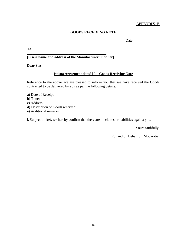## **APPENDIX- B**

# **GOODS RECEIVING NOTE**

Date\_\_\_\_\_\_\_\_\_\_\_\_\_\_\_

**To** 

## **[Insert name and address of the Manufacturer/Supplier]**

**\_\_\_\_\_\_\_\_\_\_\_\_\_\_\_\_\_\_\_\_\_\_\_\_\_\_\_\_\_\_\_\_\_\_\_\_\_\_\_\_\_\_\_\_** 

**Dear Sirs,** 

## **Istisna Agreement dated [ ] – Goods Receiving Note**

Reference to the above, we are pleased to inform you that we have received the Goods contracted to be delivered by you as per the following details:

- **a)** Date of Receipt:
- **b)** Time:
- **c)** Address:
- **d)** Description of Goods received:
- **e)** Additional remarks:

i. Subject to 1(e), we hereby confirm that there are no claims or liabilities against you.

Yours faithfully,

For and on Behalf of (Modaraba) \_\_\_\_\_\_\_\_\_\_\_\_\_\_\_\_\_\_\_\_\_\_\_\_\_\_\_\_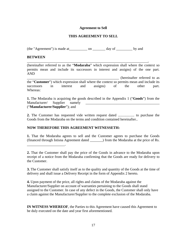## **Agreement to Sell**

## **THIS AGREEMENT TO SELL**

(the "Agreement") is made at \_\_\_\_\_\_\_\_\_\_\_ on \_\_\_\_\_\_\_\_ day of \_\_\_\_\_\_\_\_\_ by and

\_\_\_\_\_\_\_\_\_\_\_\_\_\_\_\_\_\_\_\_\_\_\_\_\_\_\_\_\_\_\_\_\_\_\_\_\_\_\_\_\_\_\_\_\_\_\_\_\_\_\_\_\_\_\_\_\_\_\_\_\_\_\_\_\_\_\_,

## **BETWEEN**

\_\_\_\_\_\_\_\_\_\_\_\_\_\_\_\_\_\_\_\_\_.

(hereinafter referred to as the "**Modaraba**" which expression shall where the context so permits mean and include its successors in interest and assigns) of the one part. AND

\_\_\_\_\_\_\_\_\_\_\_\_\_\_\_\_\_\_\_\_\_\_\_\_\_\_\_\_\_\_\_\_\_\_\_\_\_\_\_\_\_\_\_\_\_\_\_\_\_\_\_ (hereinafter referred to as the "**Customer**") which expression shall where the context so permits mean and include its successors in interest and assigns) of the other part. Whereas:

**1.** The Modaraba is acquiring the goods described in the Appendix 1 ("**Goods**") from the Manufacturer/ Supplier namely \_\_\_\_\_\_\_\_\_\_\_\_\_\_\_\_\_\_\_\_\_\_\_\_\_\_\_\_\_\_\_\_\_\_\_\_\_\_\_\_\_ ("**Manufacturer/Supplier**"); and

**2.** The Customer has requested vide written request dated .................. to purchase the Goods from the Modaraba on the terms and condition contained hereinafter..

## **NOW THEREFORE THIS AGREEMENT WITNESSETH:**

**1.** That the Modaraba agrees to sell and the Customer agrees to purchase the Goods (financed through Istisna Agreement dated \_\_\_\_\_\_\_) from the Modaraba at the price of Rs.

**3.** The Customer shall satisfy itself as to the quality and quantity of the Goods at the time of delivery and shall issue a Delivery Receipt in the form of Appendix 2 hereto.

**4.** Upon payment of the price, all rights and claims of the Modaraba against the Manufacturer/Supplier on account of warranties pertaining to the Goods shall stand assigned to the Customer. In case of any defect in the Goods, the Customer shall only have a claim against the Manufacturer/Supplier to the complete exclusion of the Modaraba.

**IN WITNESS WHEREOF**, the Parties to this Agreement have caused this Agreement to be duly executed on the date and year first aforementioned.

**<sup>2.</sup>** That the Customer shall pay the price of the Goods in advance to the Modaraba upon receipt of a notice from the Modaraba confirming that the Goods are ready for delivery to the Customer.